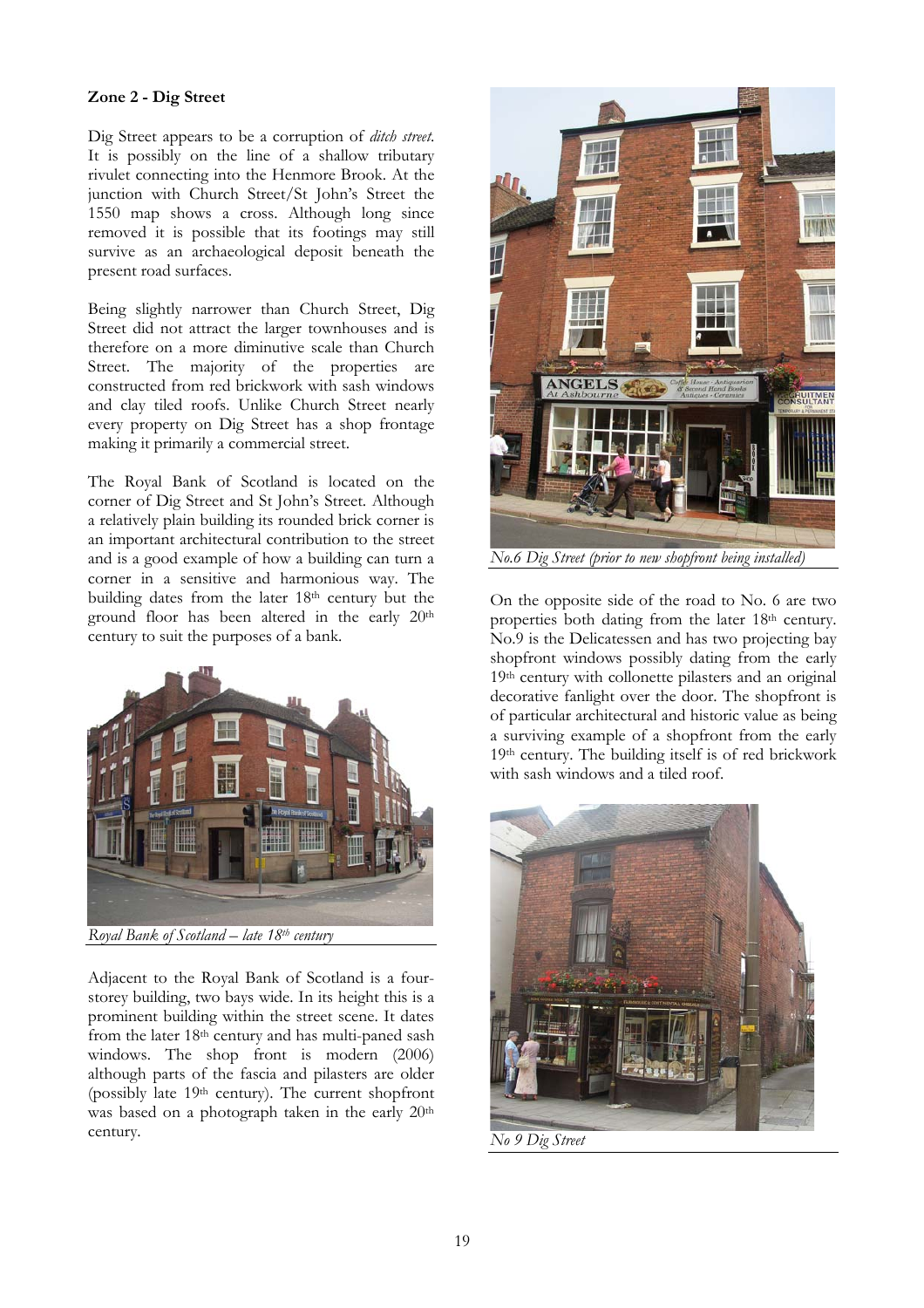## Zone 2 - Dig Street

Dig Street appears to be a corruption of *ditch street*. It is possibly on the line of a shallow tributary rivulet connecting into the Henmore Brook. At the junction with Church Street/St John's Street the 1550 map shows a cross. Although long since removed it is possible that its footings may still survive as an archaeological deposit beneath the present road surfaces.

Being slightly narrower than Church Street, Dig Street did not attract the larger townhouses and is therefore on a more diminutive scale than Church Street. The majority of the properties are constructed from red brickwork with sash windows and clay tiled roofs. Unlike Church Street nearly every property on Dig Street has a shop frontage making it primarily a commercial street.

The Royal Bank of Scotland is located on the corner of Dig Street and St John's Street. Although a relatively plain building its rounded brick corner is an important architectural contribution to the street and is a good example of how a building can turn a corner in a sensitive and harmonious way. The building dates from the later 18th century but the ground floor has been altered in the early 20th century to suit the purposes of a bank.



*Royal Bank of Scotland – late 18th century* 

Adjacent to the Royal Bank of Scotland is a fourstorey building, two bays wide. In its height this is a prominent building within the street scene. It dates from the later 18th century and has multi-paned sash windows. The shop front is modern (2006) although parts of the fascia and pilasters are older (possibly late 19th century). The current shopfront was based on a photograph taken in the early 20<sup>th</sup> century.



On the opposite side of the road to No. 6 are two properties both dating from the later 18<sup>th</sup> century. No.9 is the Delicatessen and has two projecting bay shopfront windows possibly dating from the early 19th century with collonette pilasters and an original decorative fanlight over the door. The shopfront is of particular architectural and historic value as being a surviving example of a shopfront from the early 19th century. The building itself is of red brickwork with sash windows and a tiled roof.



*No 9 Dig Street*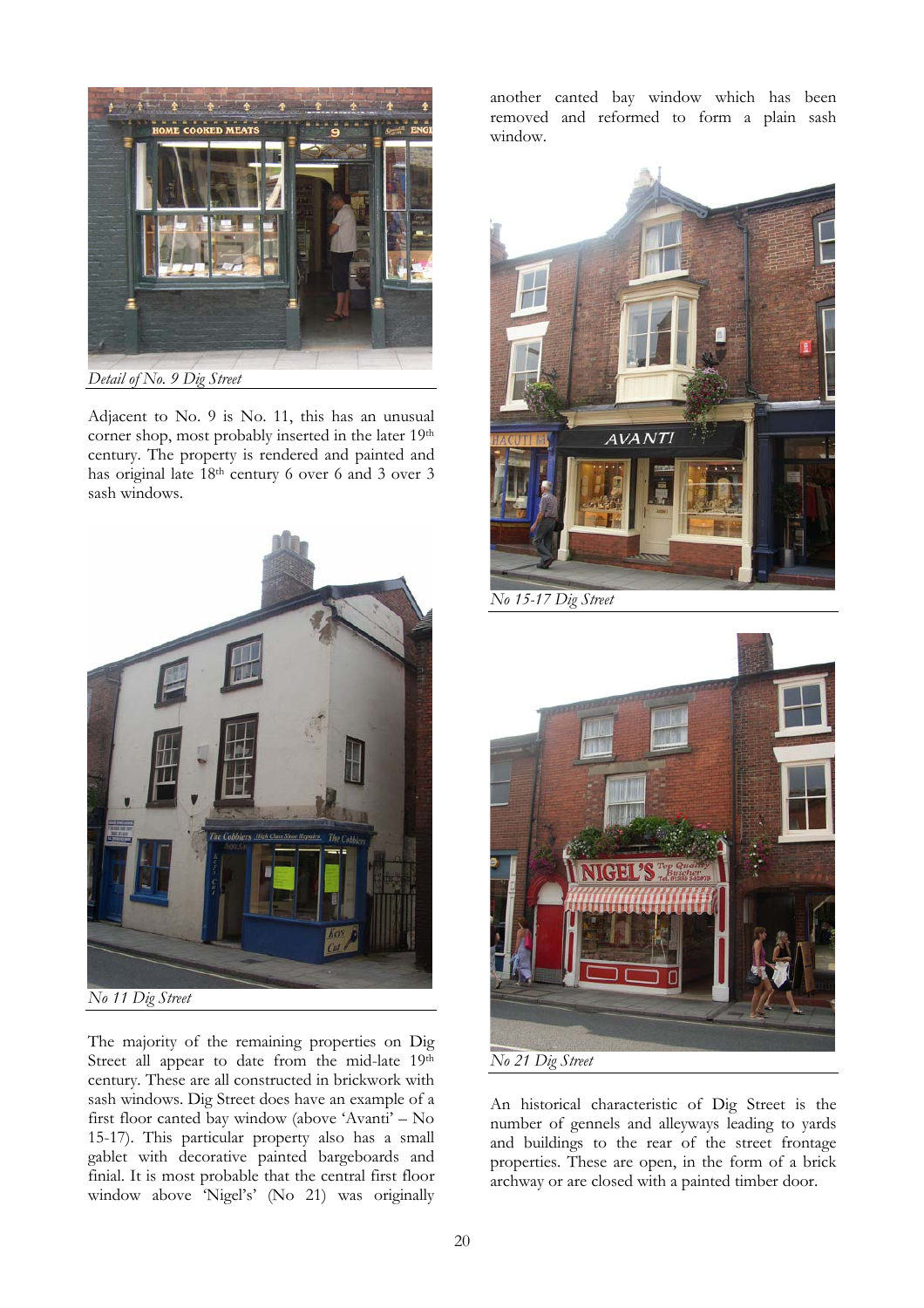

Adjacent to No. 9 is No. 11, this has an unusual corner shop, most probably inserted in the later 19th century. The property is rendered and painted and has original late 18th century 6 over 6 and 3 over 3 sash windows.



The majority of the remaining properties on Dig Street all appear to date from the mid-late 19th century. These are all constructed in brickwork with sash windows. Dig Street does have an example of a first floor canted bay window (above 'Avanti' – No 15-17). This particular property also has a small gablet with decorative painted bargeboards and finial. It is most probable that the central first floor window above 'Nigel's' (No 21) was originally another canted bay window which has been removed and reformed to form a plain sash window.



*No 15-17 Dig Street* 



An historical characteristic of Dig Street is the number of gennels and alleyways leading to yards and buildings to the rear of the street frontage properties. These are open, in the form of a brick archway or are closed with a painted timber door.